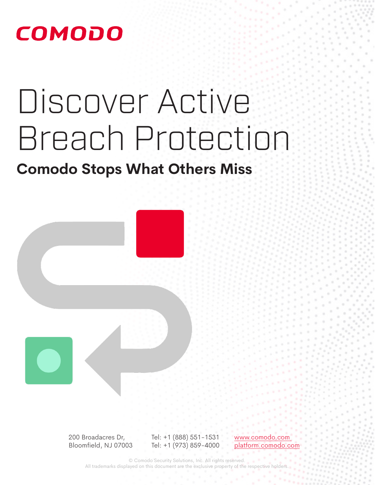# Discover Active Breach Protection

**Comodo Stops What Others Miss**



200 Broadacres Dr, Bloomfield, NJ 07003 Tel: +1 (888) 551-1531 Tel: +1 (973) 859-4000 www.comodo.com platform.comodo.com

© Comodo Security Solutions, Inc. All rights reserved. All trademarks displayed on this document are the exclusive property of the respective holders.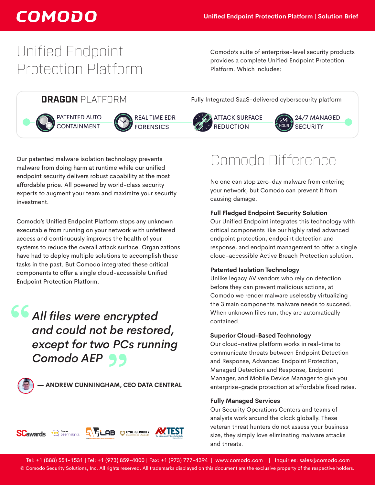# Unified Endpoint Protection Platform

Comodo's suite of enterprise-level security products provides a complete Unified Endpoint Protection Platform. Which includes:

PATENTED AUTO **CONTAINMENT** 



REAL TIME EDR **FORENSICS** 

Our patented malware isolation technology prevents malware from doing harm at runtime while our unified endpoint security delivers robust capability at the most affordable price. All powered by world-class security experts to augment your team and maximize your security investment.

Comodo's Unified Endpoint Platform stops any unknown executable from running on your network with unfettered access and continuously improves the health of your systems to reduce the overall attack surface. Organizations have had to deploy multiple solutions to accomplish these tasks in the past. But Comodo integrated these critical components to offer a single cloud-accessible Unified Endpoint Protection Platform.

**"***All files were encrypted and could not be restored, except for two PCs running*  **Comodo AEP 99**<br>
— andrew cunningham, ci



 **— ANDREW CUNNINGHAM, CEO DATA CENTRAL**



**DRAGON** PLATFORM Fully Integrated SaaS-delivered cybersecurity platform



causing damage.







Comodo Difference

### No one can stop zero-day malware from entering your network, but Comodo can prevent it from

#### **Full Fledged Endpoint Security Solution**

Our Unified Endpoint integrates this technology with critical components like our highly rated advanced endpoint protection, endpoint detection and response, and endpoint management to offer a single cloud-accessible Active Breach Protection solution.

#### **Patented Isolation Technology**

Unlike legacy AV vendors who rely on detection before they can prevent malicious actions, at Comodo we render malware uselessby virtualizing the 3 main components malware needs to succeed. When unknown files run, they are automatically contained.

#### **Superior Cloud-Based Technology**

Our cloud-native platform works in real-time to communicate threats between Endpoint Detection and Response, Advanced Endpoint Protection, Managed Detection and Response, Endpoint Manager, and Mobile Device Manager to give you enterprise-grade protection at affordable fixed rates.

#### **Fully Managed Services**

Our Security Operations Centers and teams of analysts work around the clock globally. These veteran threat hunters do not assess your business size, they simply love eliminating malware attacks and threats.

 Tel: +1 (888) 551-1531 | Tel: +1 (973) 859-4000 | Fax: +1 (973) 777-4394 | www.comodo.com | Inquiries: [sales@comodo.com](mailto:sales%40comodo.com%20?subject=Comodo%20UE%20Brochure) © Comodo Security Solutions, Inc. All rights reserved. All trademarks displayed on this document are the exclusive property of the respective holders.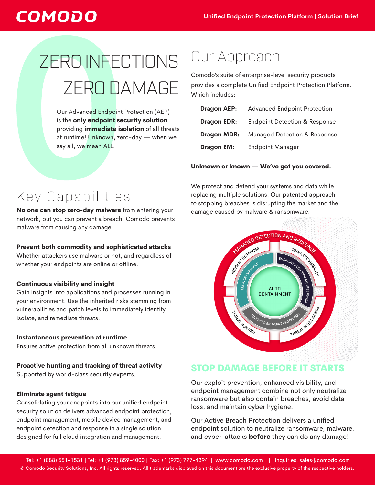# ZERO INFECTIONS ZERO DAMAGE

Our Advanced Endpoint Protection (AEP) is the **only endpoint security solution** providing **immediate isolation** of all threats at runtime! Unknown, zero-day — when we say all, we mean ALL.

# Our Approach

Comodo's suite of enterprise-level security products provides a complete Unified Endpoint Protection Platform. Which includes:

| <b>Dragon AEP:</b> | <b>Advanced Endpoint Protection</b>      |
|--------------------|------------------------------------------|
| <b>Dragon EDR:</b> | <b>Endpoint Detection &amp; Response</b> |
| <b>Dragon MDR:</b> | Managed Detection & Response             |
| <b>Dragon EM:</b>  | <b>Endpoint Manager</b>                  |

#### **Unknown or known — We've got you covered.**

We protect and defend your systems and data while replacing multiple solutions. Our patented approach to stopping breaches is disrupting the market and the damage caused by malware & ransomware.



### Key Capabilities **No one can stop zero-day malware** from entering your

network, but you can prevent a breach. Comodo prevents malware from causing any damage.

#### **Prevent both commodity and sophisticated attacks**

Whether attackers use malware or not, and regardless of whether your endpoints are online or offline.

#### **Continuous visibility and insight**

Gain insights into applications and processes running in your environment. Use the inherited risks stemming from vulnerabilities and patch levels to immediately identify, isolate, and remediate threats.

#### **Instantaneous prevention at runtime**  Ensures active protection from all unknown threats.

### **Proactive hunting and tracking of threat activity**

Supported by world-class security experts.

#### **Eliminate agent fatigue**

Consolidating your endpoints into our unified endpoint security solution delivers advanced endpoint protection, endpoint management, mobile device management, and endpoint detection and response in a single solution designed for full cloud integration and management.

### STOP DAMAGE BEFORE IT STARTS

Our exploit prevention, enhanced visibility, and endpoint management combine not only neutralize ransomware but also contain breaches, avoid data loss, and maintain cyber hygiene.

Our Active Breach Protection delivers a unified endpoint solution to neutralize ransomware, malware, and cyber-attacks **before** they can do any damage!